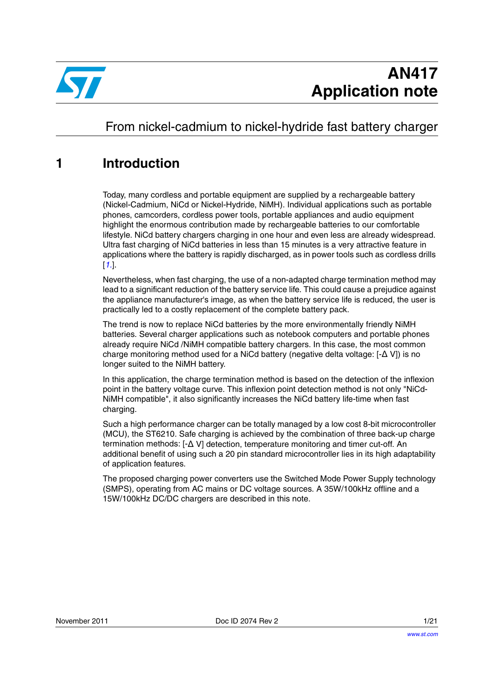

# From nickel-cadmium to nickel-hydride fast battery charger

## <span id="page-0-0"></span>**1 Introduction**

Today, many cordless and portable equipment are supplied by a rechargeable battery (Nickel-Cadmium, NiCd or Nickel-Hydride, NiMH). Individual applications such as portable phones, camcorders, cordless power tools, portable appliances and audio equipment highlight the enormous contribution made by rechargeable batteries to our comfortable lifestyle. NiCd battery chargers charging in one hour and even less are already widespread. Ultra fast charging of NiCd batteries in less than 15 minutes is a very attractive feature in applications where the battery is rapidly discharged, as in power tools such as cordless drills [*[1.](#page-18-0)*].

Nevertheless, when fast charging, the use of a non-adapted charge termination method may lead to a significant reduction of the battery service life. This could cause a prejudice against the appliance manufacturer's image, as when the battery service life is reduced, the user is practically led to a costly replacement of the complete battery pack.

The trend is now to replace NiCd batteries by the more environmentally friendly NiMH batteries. Several charger applications such as notebook computers and portable phones already require NiCd /NiMH compatible battery chargers. In this case, the most common charge monitoring method used for a NiCd battery (negative delta voltage: [-Δ V]) is no longer suited to the NiMH battery.

In this application, the charge termination method is based on the detection of the inflexion point in the battery voltage curve. This inflexion point detection method is not only "NiCd-NiMH compatible", it also significantly increases the NiCd battery life-time when fast charging.

Such a high performance charger can be totally managed by a low cost 8-bit microcontroller (MCU), the ST6210. Safe charging is achieved by the combination of three back-up charge termination methods: [-Δ V] detection, temperature monitoring and timer cut-off. An additional benefit of using such a 20 pin standard microcontroller lies in its high adaptability of application features.

The proposed charging power converters use the Switched Mode Power Supply technology (SMPS), operating from AC mains or DC voltage sources. A 35W/100kHz offline and a 15W/100kHz DC/DC chargers are described in this note.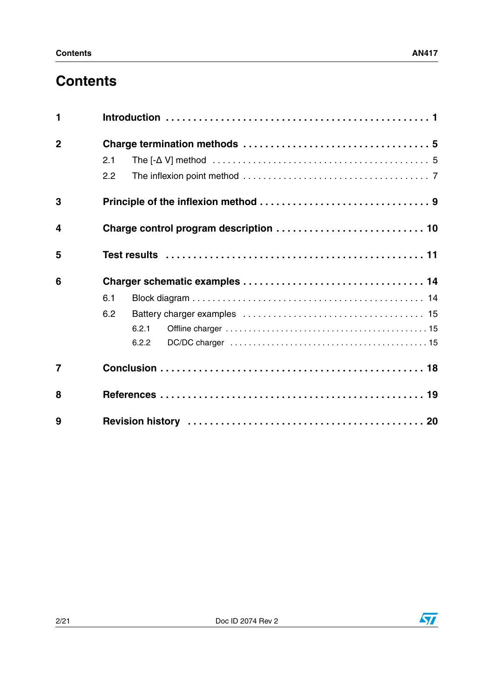# **Contents**

| $\mathbf{1}$   |     |                                                                                                                         |  |  |  |  |
|----------------|-----|-------------------------------------------------------------------------------------------------------------------------|--|--|--|--|
| $\overline{2}$ |     |                                                                                                                         |  |  |  |  |
|                | 2.1 | The $[-\Delta V]$ method $\ldots \ldots \ldots \ldots \ldots \ldots \ldots \ldots \ldots \ldots \ldots \ldots \ldots 5$ |  |  |  |  |
|                | 2.2 |                                                                                                                         |  |  |  |  |
| 3              |     |                                                                                                                         |  |  |  |  |
| 4              |     |                                                                                                                         |  |  |  |  |
| 5              |     |                                                                                                                         |  |  |  |  |
| 6              |     |                                                                                                                         |  |  |  |  |
|                | 6.1 |                                                                                                                         |  |  |  |  |
|                | 6.2 |                                                                                                                         |  |  |  |  |
|                |     | 6.2.1                                                                                                                   |  |  |  |  |
|                |     | 6.2.2                                                                                                                   |  |  |  |  |
| $\overline{7}$ |     |                                                                                                                         |  |  |  |  |
| 8              |     |                                                                                                                         |  |  |  |  |
| 9              |     |                                                                                                                         |  |  |  |  |

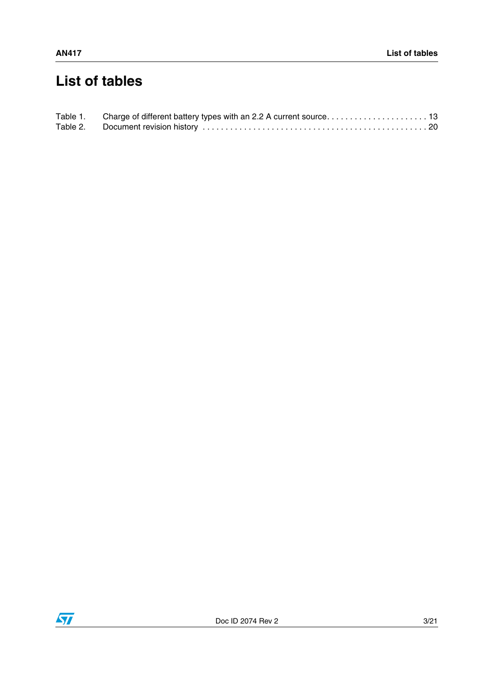# **List of tables**

| Table 1. |  |
|----------|--|
|          |  |

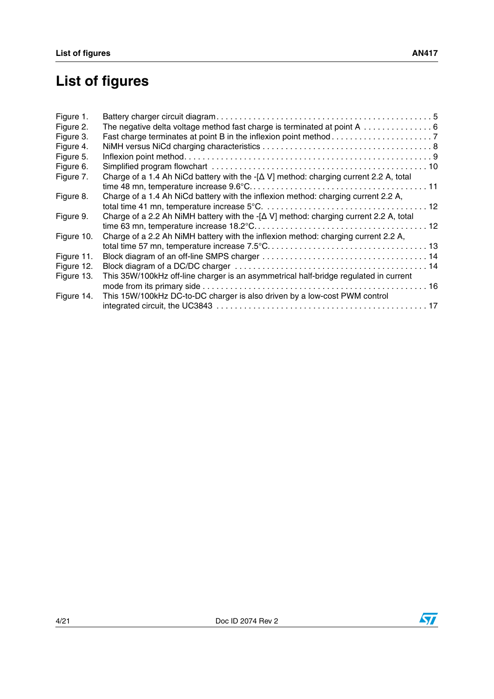# **List of figures**

| Figure 1.  |                                                                                              |  |
|------------|----------------------------------------------------------------------------------------------|--|
| Figure 2.  | The negative delta voltage method fast charge is terminated at point A  6                    |  |
| Figure 3.  |                                                                                              |  |
| Figure 4.  |                                                                                              |  |
| Figure 5.  |                                                                                              |  |
| Figure 6.  |                                                                                              |  |
| Figure 7.  | Charge of a 1.4 Ah NiCd battery with the $-[\Delta V]$ method: charging current 2.2 A, total |  |
| Figure 8.  | Charge of a 1.4 Ah NiCd battery with the inflexion method: charging current 2.2 A,           |  |
| Figure 9.  | Charge of a 2.2 Ah NiMH battery with the $-[\Delta V]$ method: charging current 2.2 A, total |  |
| Figure 10. | Charge of a 2.2 Ah NiMH battery with the inflexion method: charging current 2.2 A,           |  |
| Figure 11. |                                                                                              |  |
| Figure 12. |                                                                                              |  |
| Figure 13. | This 35W/100kHz off-line charger is an asymmetrical half-bridge regulated in current         |  |
| Figure 14. | This 15W/100kHz DC-to-DC charger is also driven by a low-cost PWM control                    |  |
|            |                                                                                              |  |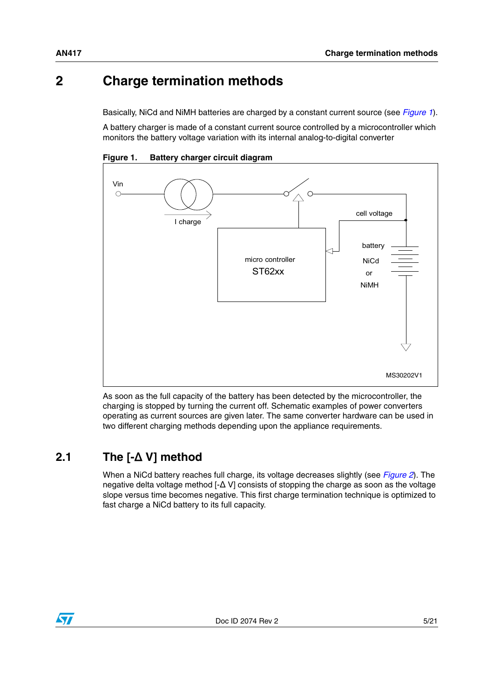# <span id="page-4-0"></span>**2 Charge termination methods**

Basically, NiCd and NiMH batteries are charged by a constant current source (see *[Figure 1](#page-4-2)*).

A battery charger is made of a constant current source controlled by a microcontroller which monitors the battery voltage variation with its internal analog-to-digital converter



<span id="page-4-2"></span>**Figure 1. Battery charger circuit diagram**

As soon as the full capacity of the battery has been detected by the microcontroller, the charging is stopped by turning the current off. Schematic examples of power converters operating as current sources are given later. The same converter hardware can be used in two different charging methods depending upon the appliance requirements.

### <span id="page-4-1"></span>**2.1 The [-**Δ **V] method**

When a NiCd battery reaches full charge, its voltage decreases slightly (see *[Figure 2](#page-5-0)*). The negative delta voltage method [-Δ V] consists of stopping the charge as soon as the voltage slope versus time becomes negative. This first charge termination technique is optimized to fast charge a NiCd battery to its full capacity.

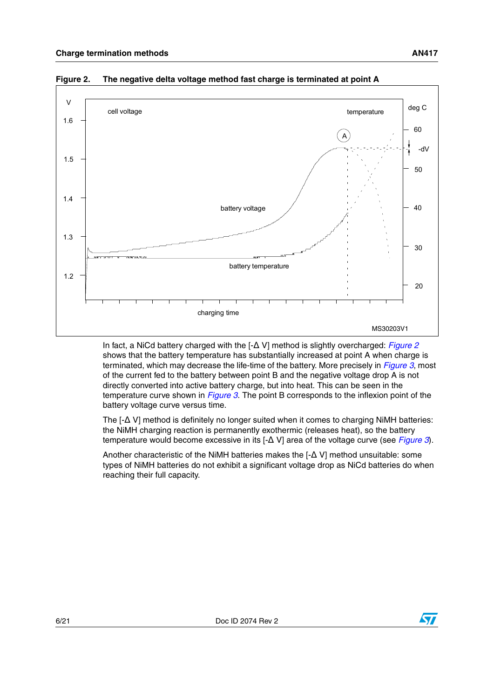

<span id="page-5-0"></span>**Figure 2. The negative delta voltage method fast charge is terminated at point A**

In fact, a NiCd battery charged with the [-Δ V] method is slightly overcharged: *[Figure 2](#page-5-0)* shows that the battery temperature has substantially increased at point A when charge is terminated, which may decrease the life-time of the battery. More precisely in *[Figure 3](#page-6-1)*, most of the current fed to the battery between point B and the negative voltage drop A is not directly converted into active battery charge, but into heat. This can be seen in the temperature curve shown in *[Figure 3](#page-6-1)*. The point B corresponds to the inflexion point of the battery voltage curve versus time.

The [-Δ V] method is definitely no longer suited when it comes to charging NiMH batteries: the NiMH charging reaction is permanently exothermic (releases heat), so the battery temperature would become excessive in its [-Δ V] area of the voltage curve (see *[Figure 3](#page-6-1)*).

Another characteristic of the NiMH batteries makes the [-Δ V] method unsuitable: some types of NiMH batteries do not exhibit a significant voltage drop as NiCd batteries do when reaching their full capacity.

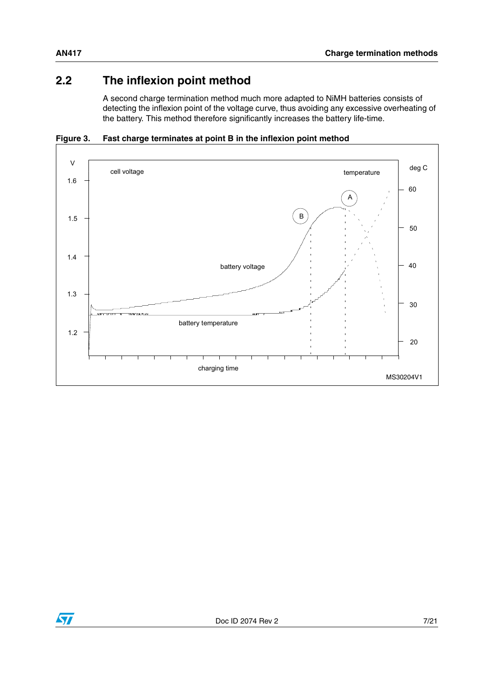### <span id="page-6-0"></span>**2.2 The inflexion point method**

A second charge termination method much more adapted to NiMH batteries consists of detecting the inflexion point of the voltage curve, thus avoiding any excessive overheating of the battery. This method therefore significantly increases the battery life-time.

<span id="page-6-1"></span>



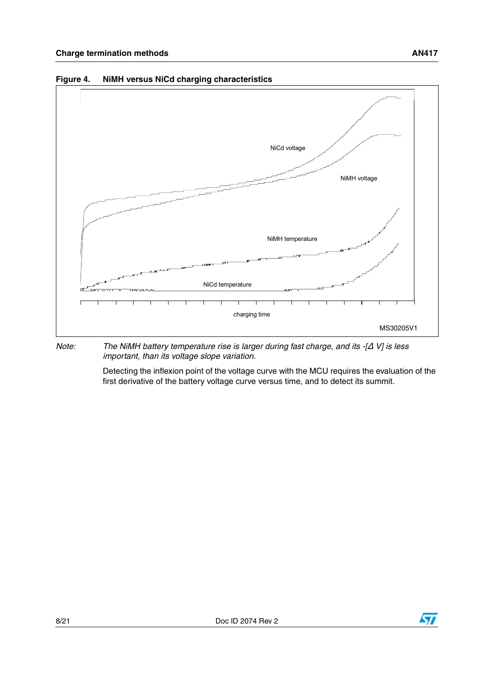

<span id="page-7-0"></span>**Figure 4. NiMH versus NiCd charging characteristics**

*Note: The NiMH battery temperature rise is larger during fast charge, and its -[*Δ *V] is less important, than its voltage slope variation.*

> Detecting the inflexion point of the voltage curve with the MCU requires the evaluation of the first derivative of the battery voltage curve versus time, and to detect its summit.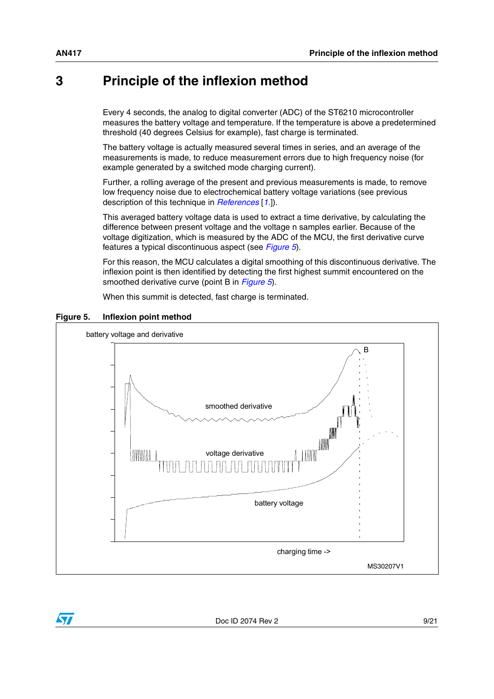### <span id="page-8-0"></span>**3 Principle of the inflexion method**

Every 4 seconds, the analog to digital converter (ADC) of the ST6210 microcontroller measures the battery voltage and temperature. If the temperature is above a predetermined threshold (40 degrees Celsius for example), fast charge is terminated.

The battery voltage is actually measured several times in series, and an average of the measurements is made, to reduce measurement errors due to high frequency noise (for example generated by a switched mode charging current).

Further, a rolling average of the present and previous measurements is made, to remove low frequency noise due to electrochemical battery voltage variations (see previous description of this technique in *[References](#page-18-1)* [*[1.](#page-18-2)*]).

This averaged battery voltage data is used to extract a time derivative, by calculating the difference between present voltage and the voltage n samples earlier. Because of the voltage digitization, which is measured by the ADC of the MCU, the first derivative curve features a typical discontinuous aspect (see *[Figure 5](#page-8-1)*).

For this reason, the MCU calculates a digital smoothing of this discontinuous derivative. The inflexion point is then identified by detecting the first highest summit encountered on the smoothed derivative curve (point B in *[Figure 5](#page-8-1)*).

When this summit is detected, fast charge is terminated.



#### <span id="page-8-1"></span>**Figure 5. Inflexion point method**

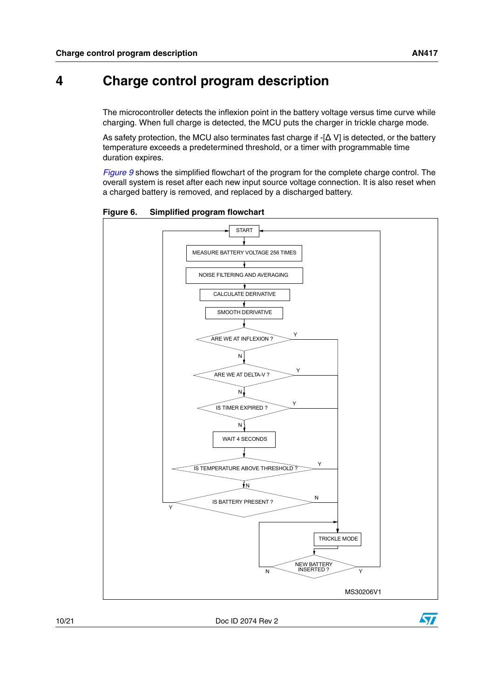# <span id="page-9-0"></span>**4 Charge control program description**

The microcontroller detects the inflexion point in the battery voltage versus time curve while charging. When full charge is detected, the MCU puts the charger in trickle charge mode.

As safety protection, the MCU also terminates fast charge if  $-[\Delta \vee]$  is detected, or the battery temperature exceeds a predetermined threshold, or a timer with programmable time duration expires.

*[Figure 9](#page-11-1)* shows the simplified flowchart of the program for the complete charge control. The overall system is reset after each new input source voltage connection. It is also reset when a charged battery is removed, and replaced by a discharged battery.



<span id="page-9-1"></span>**Figure 6. Simplified program flowchart**

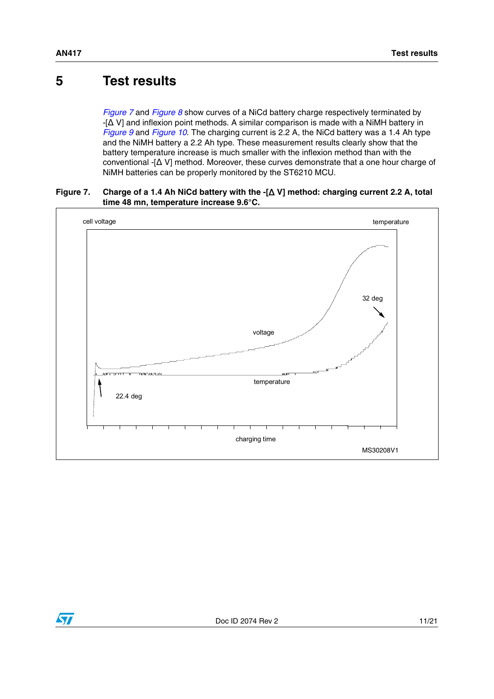### <span id="page-10-0"></span>**5 Test results**

*[Figure 7](#page-10-1)* and *[Figure 8](#page-11-0)* show curves of a NiCd battery charge respectively terminated by -[Δ V] and inflexion point methods. A similar comparison is made with a NiMH battery in *[Figure 9](#page-11-1)* and *[Figure 10](#page-12-1)*. The charging current is 2.2 A, the NiCd battery was a 1.4 Ah type and the NiMH battery a 2.2 Ah type. These measurement results clearly show that the battery temperature increase is much smaller with the inflexion method than with the conventional -[Δ V] method. Moreover, these curves demonstrate that a one hour charge of NiMH batteries can be properly monitored by the ST6210 MCU.

#### <span id="page-10-1"></span>**Figure 7. Charge of a 1.4 Ah NiCd battery with the -[**Δ **V] method: charging current 2.2 A, total time 48 mn, temperature increase 9.6°C.**



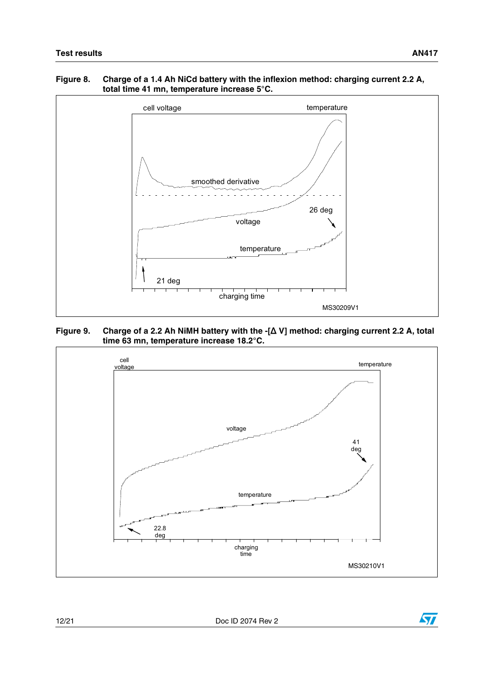#### <span id="page-11-0"></span>**Figure 8. Charge of a 1.4 Ah NiCd battery with the inflexion method: charging current 2.2 A, total time 41 mn, temperature increase 5°C.**



<span id="page-11-1"></span>**Figure 9. Charge of a 2.2 Ah NiMH battery with the -[**Δ **V] method: charging current 2.2 A, total time 63 mn, temperature increase 18.2°C.**



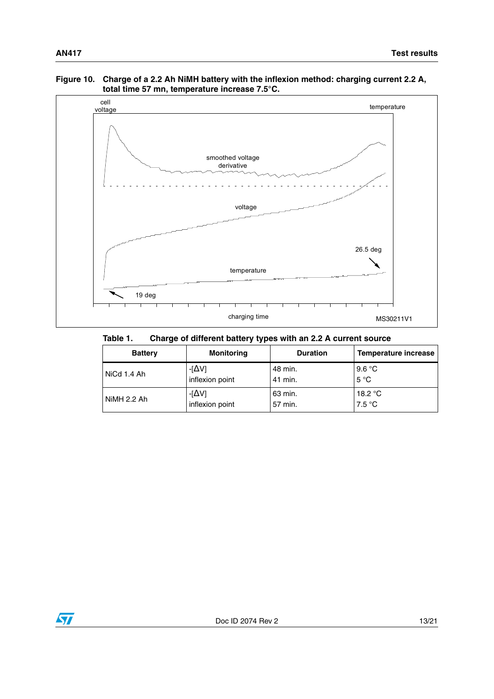#### <span id="page-12-1"></span>**Figure 10. Charge of a 2.2 Ah NiMH battery with the inflexion method: charging current 2.2 A, total time 57 mn, temperature increase 7.5°C.**



<span id="page-12-0"></span>Table 1. **Table 1. Charge of different battery types with an 2.2 A current source**

| <b>Battery</b> | <b>Monitoring</b> | <b>Duration</b> | Temperature increase |
|----------------|-------------------|-----------------|----------------------|
| NiCd 1.4 Ah    | $-[\Delta V]$     | 48 min.         | 9.6 °C               |
|                | inflexion point   | 41 min.         | $5^{\circ}C$         |
| NiMH 2.2 Ah    | -[ $\Delta$ V]    | 63 min.         | 18.2 $\degree$ C     |
|                | inflexion point   | 57 min.         | 7.5 °C               |

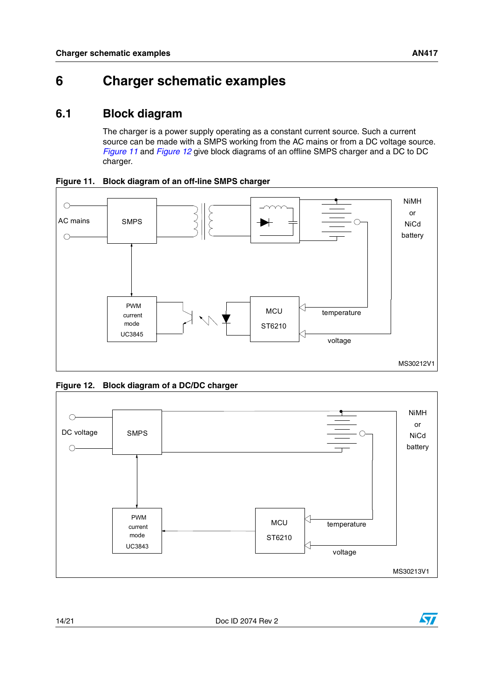# <span id="page-13-0"></span>**6 Charger schematic examples**

### <span id="page-13-1"></span>**6.1 Block diagram**

The charger is a power supply operating as a constant current source. Such a current source can be made with a SMPS working from the AC mains or from a DC voltage source. *[Figure 11](#page-13-2)* and *[Figure 12](#page-13-3)* give block diagrams of an offline SMPS charger and a DC to DC charger.



<span id="page-13-2"></span>**Figure 11. Block diagram of an off-line SMPS charger**

<span id="page-13-3"></span>**Figure 12. Block diagram of a DC/DC charger**





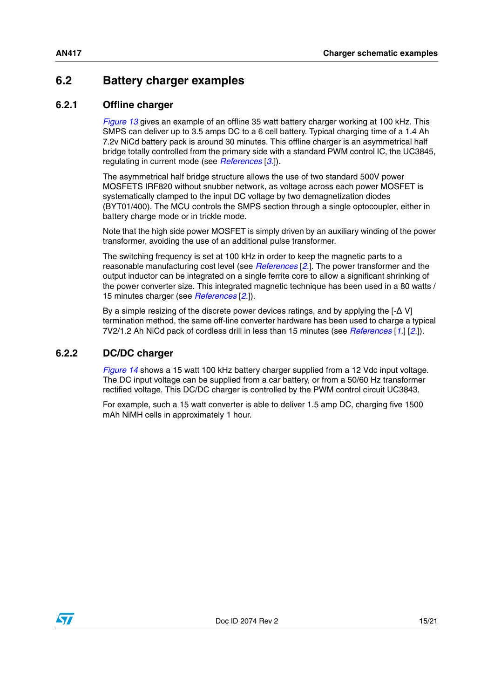### <span id="page-14-0"></span>**6.2 Battery charger examples**

### <span id="page-14-1"></span>**6.2.1 Offline charger**

*[Figure 13](#page-15-0)* gives an example of an offline 35 watt battery charger working at 100 kHz. This SMPS can deliver up to 3.5 amps DC to a 6 cell battery. Typical charging time of a 1.4 Ah 7.2v NiCd battery pack is around 30 minutes. This offline charger is an asymmetrical half bridge totally controlled from the primary side with a standard PWM control IC, the UC3845, regulating in current mode (see *[References](#page-18-1)* [*[3.](#page-18-4)*]).

The asymmetrical half bridge structure allows the use of two standard 500V power MOSFETS IRF820 without snubber network, as voltage across each power MOSFET is systematically clamped to the input DC voltage by two demagnetization diodes (BYT01/400). The MCU controls the SMPS section through a single optocoupler, either in battery charge mode or in trickle mode.

Note that the high side power MOSFET is simply driven by an auxiliary winding of the power transformer, avoiding the use of an additional pulse transformer.

The switching frequency is set at 100 kHz in order to keep the magnetic parts to a reasonable manufacturing cost level (see *[References](#page-18-1)* [*[2.](#page-18-3)*]. The power transformer and the output inductor can be integrated on a single ferrite core to allow a significant shrinking of the power converter size. This integrated magnetic technique has been used in a 80 watts / 15 minutes charger (see *[References](#page-18-1)* [*[2.](#page-18-3)*]).

By a simple resizing of the discrete power devices ratings, and by applying the  $[-\Delta V]$ termination method, the same off-line converter hardware has been used to charge a typical 7V2/1.2 Ah NiCd pack of cordless drill in less than 15 minutes (see *[References](#page-18-1)* [*[1.](#page-18-2)*] [*[2.](#page-18-3)*]).

### <span id="page-14-2"></span>**6.2.2 DC/DC charger**

*[Figure 14](#page-16-0)* shows a 15 watt 100 kHz battery charger supplied from a 12 Vdc input voltage. The DC input voltage can be supplied from a car battery, or from a 50/60 Hz transformer rectified voltage. This DC/DC charger is controlled by the PWM control circuit UC3843.

For example, such a 15 watt converter is able to deliver 1.5 amp DC, charging five 1500 mAh NiMH cells in approximately 1 hour.

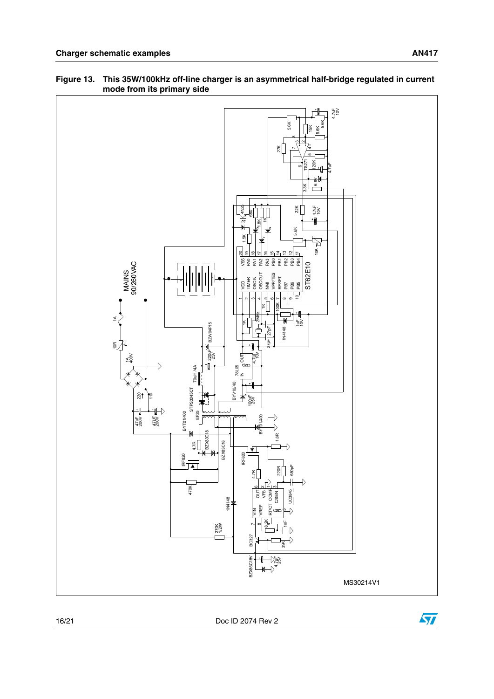

#### <span id="page-15-0"></span>**Figure 13. This 35W/100kHz off-line charger is an asymmetrical half-bridge regulated in current mode from its primary side**

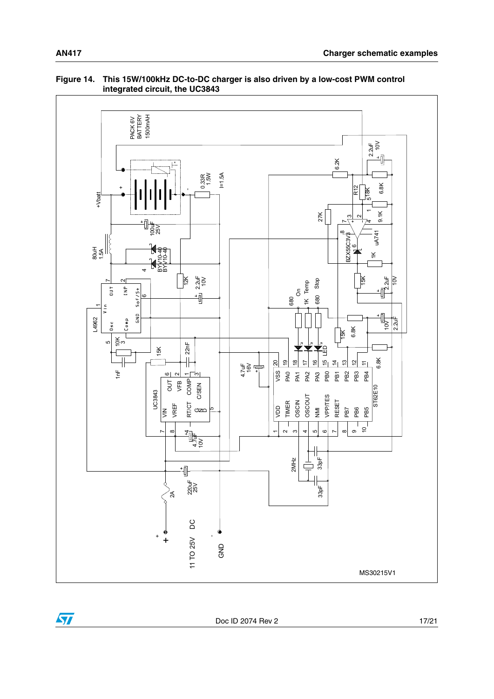

#### <span id="page-16-0"></span>**Figure 14. This 15W/100kHz DC-to-DC charger is also driven by a low-cost PWM control integrated circuit, the UC3843**



Doc ID 2074 Rev 2 17/21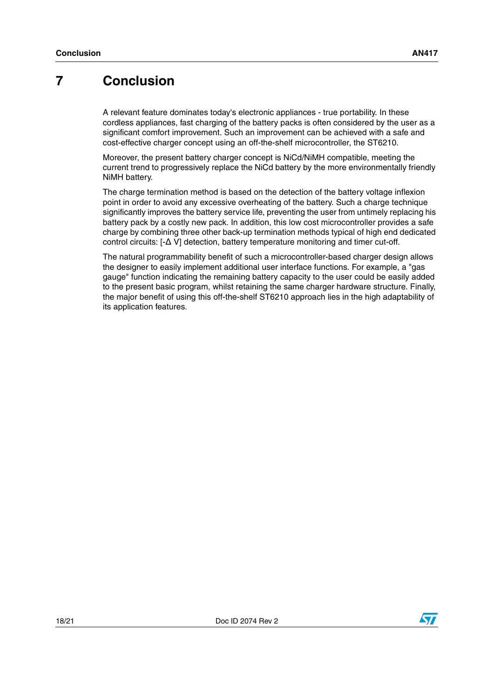## <span id="page-17-0"></span>**7 Conclusion**

A relevant feature dominates today's electronic appliances - true portability. In these cordless appliances, fast charging of the battery packs is often considered by the user as a significant comfort improvement. Such an improvement can be achieved with a safe and cost-effective charger concept using an off-the-shelf microcontroller, the ST6210.

Moreover, the present battery charger concept is NiCd/NiMH compatible, meeting the current trend to progressively replace the NiCd battery by the more environmentally friendly NiMH battery.

The charge termination method is based on the detection of the battery voltage inflexion point in order to avoid any excessive overheating of the battery. Such a charge technique significantly improves the battery service life, preventing the user from untimely replacing his battery pack by a costly new pack. In addition, this low cost microcontroller provides a safe charge by combining three other back-up termination methods typical of high end dedicated control circuits: [-Δ V] detection, battery temperature monitoring and timer cut-off.

The natural programmability benefit of such a microcontroller-based charger design allows the designer to easily implement additional user interface functions. For example, a "gas gauge" function indicating the remaining battery capacity to the user could be easily added to the present basic program, whilst retaining the same charger hardware structure. Finally, the major benefit of using this off-the-shelf ST6210 approach lies in the high adaptability of its application features.

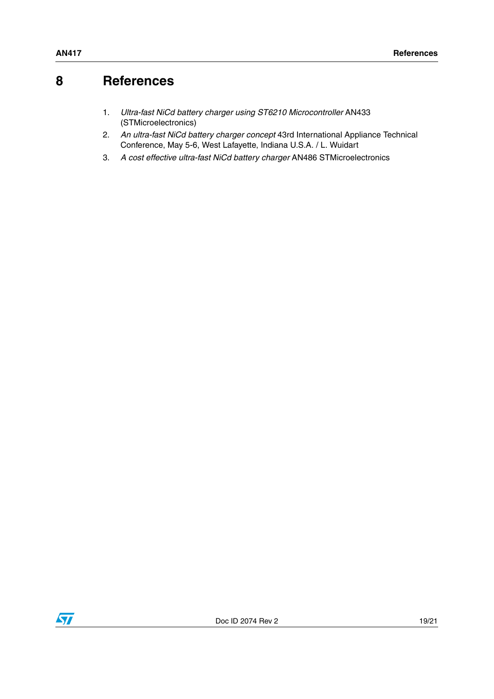# <span id="page-18-1"></span>**8 References**

- <span id="page-18-2"></span><span id="page-18-0"></span>1. *Ultra-fast NiCd battery charger using ST6210 Microcontroller* AN433 (STMicroelectronics)
- <span id="page-18-3"></span>2. *An ultra-fast NiCd battery charger concept* 43rd International Appliance Technical Conference, May 5-6, West Lafayette, Indiana U.S.A. / L. Wuidart
- <span id="page-18-4"></span>3. *A cost effective ultra-fast NiCd battery charger* AN486 STMicroelectronics

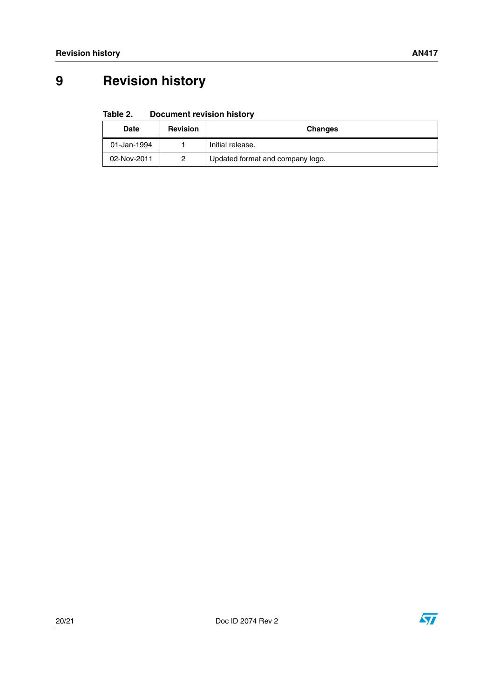# <span id="page-19-0"></span>**9 Revision history**

#### <span id="page-19-1"></span>Table 2. **Document revision history**

| <b>Date</b> | <b>Revision</b> | <b>Changes</b>                   |
|-------------|-----------------|----------------------------------|
| 01-Jan-1994 |                 | Initial release.                 |
| 02-Nov-2011 | 2               | Updated format and company logo. |